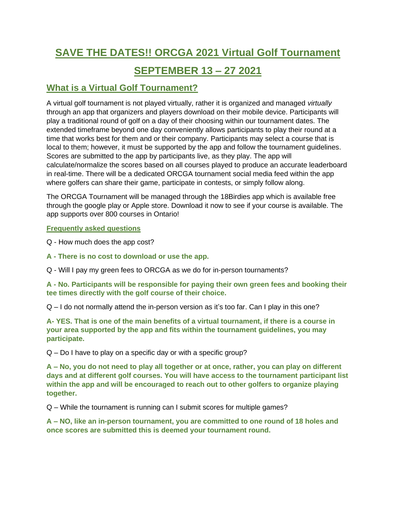# **SAVE THE DATES!! ORCGA 2021 Virtual Golf Tournament**

## **SEPTEMBER 13 – 27 2021**

### **What is a Virtual Golf Tournament?**

A virtual golf tournament is not played virtually, rather it is organized and managed *virtually* through an app that organizers and players download on their mobile device. Participants will play a traditional round of golf on a day of their choosing within our tournament dates. The extended timeframe beyond one day conveniently allows participants to play their round at a time that works best for them and or their company. Participants may select a course that is local to them; however, it must be supported by the app and follow the tournament guidelines. Scores are submitted to the app by participants live, as they play. The app will calculate/normalize the scores based on all courses played to produce an accurate leaderboard in real-time. There will be a dedicated ORCGA tournament social media feed within the app where golfers can share their game, participate in contests, or simply follow along.

The ORCGA Tournament will be managed through the 18Birdies app which is available free through the google play or Apple store. Download it now to see if your course is available. The app supports over 800 courses in Ontario!

#### **Frequently asked questions**

Q - How much does the app cost?

**A - There is no cost to download or use the app.** 

Q - Will I pay my green fees to ORCGA as we do for in-person tournaments?

**A - No. Participants will be responsible for paying their own green fees and booking their tee times directly with the golf course of their choice.**

 $Q - I$  do not normally attend the in-person version as it's too far. Can I play in this one?

**A- YES. That is one of the main benefits of a virtual tournament, if there is a course in your area supported by the app and fits within the tournament guidelines, you may participate.** 

Q – Do I have to play on a specific day or with a specific group?

**A – No, you do not need to play all together or at once, rather, you can play on different days and at different golf courses. You will have access to the tournament participant list within the app and will be encouraged to reach out to other golfers to organize playing together.** 

Q – While the tournament is running can I submit scores for multiple games?

**A – NO, like an in-person tournament, you are committed to one round of 18 holes and once scores are submitted this is deemed your tournament round.**